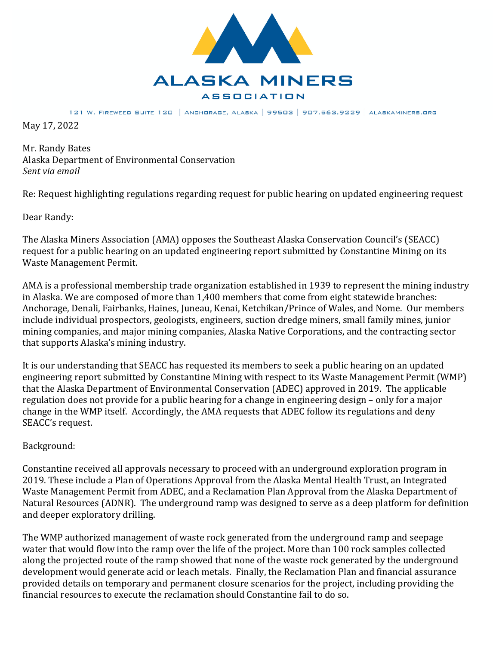

121 W. FIREWEED SUITE 120 | ANCHORAGE, ALASKA | 99503 | 907.563.9229 | ALASKAMINERS.ORG

May 17, 2022

Mr. Randy Bates Alaska Department of Environmental Conservation *Sent* via email

Re: Request highlighting regulations regarding request for public hearing on updated engineering request

Dear Randy:

The Alaska Miners Association (AMA) opposes the Southeast Alaska Conservation Council's (SEACC) request for a public hearing on an updated engineering report submitted by Constantine Mining on its Waste Management Permit.

AMA is a professional membership trade organization established in 1939 to represent the mining industry in Alaska. We are composed of more than  $1,400$  members that come from eight statewide branches: Anchorage, Denali, Fairbanks, Haines, Juneau, Kenai, Ketchikan/Prince of Wales, and Nome. Our members include individual prospectors, geologists, engineers, suction dredge miners, small family mines, junior mining companies, and major mining companies, Alaska Native Corporations, and the contracting sector that supports Alaska's mining industry.

It is our understanding that SEACC has requested its members to seek a public hearing on an updated engineering report submitted by Constantine Mining with respect to its Waste Management Permit (WMP) that the Alaska Department of Environmental Conservation (ADEC) approved in 2019. The applicable regulation does not provide for a public hearing for a change in engineering design – only for a major change in the WMP itself. Accordingly, the AMA requests that ADEC follow its regulations and deny SEACC's request.

## Background:

Constantine received all approvals necessary to proceed with an underground exploration program in  $2019$ . These include a Plan of Operations Approval from the Alaska Mental Health Trust, an Integrated Waste Management Permit from ADEC, and a Reclamation Plan Approval from the Alaska Department of Natural Resources (ADNR). The underground ramp was designed to serve as a deep platform for definition and deeper exploratory drilling.

The WMP authorized management of waste rock generated from the underground ramp and seepage water that would flow into the ramp over the life of the project. More than 100 rock samples collected along the projected route of the ramp showed that none of the waste rock generated by the underground development would generate acid or leach metals. Finally, the Reclamation Plan and financial assurance provided details on temporary and permanent closure scenarios for the project, including providing the financial resources to execute the reclamation should Constantine fail to do so.